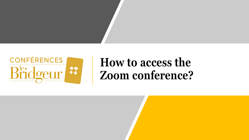

#### **How to access the Zoom conference?**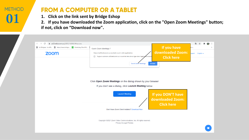#### **METHOD 01**

#### **FROM A COMPUTER OR A TABLET**

**1. Click on the link sent by Bridge Eshop**

**2. If you have downloaded the Zoom application, click on the "Open Zoom Meetings" button; if not, click on "Download now".** 

| B Le Bridgeur : la réfé B https://www.bridge ⊠ Marketing: Email M | If you have<br><b>Ouvrir Zoom Meetings?</b>                                                                               | k s                       |
|-------------------------------------------------------------------|---------------------------------------------------------------------------------------------------------------------------|---------------------------|
| <b>ZOOM</b>                                                       | downloaded Zoom:<br>https://us02web.zoom.us souhaite ouvrir cette application.                                            | English $\star$<br>upport |
|                                                                   | Toujours autoriser us02web.zoom.us à ouvrir les liens de ce type dans l'applicat<br>□<br>tion associ<br><b>Click here</b> |                           |
|                                                                   | <b>Ouvrir Zoom Meetings</b><br>Annuler                                                                                    |                           |
|                                                                   |                                                                                                                           |                           |
|                                                                   |                                                                                                                           |                           |
|                                                                   |                                                                                                                           |                           |
|                                                                   |                                                                                                                           |                           |
|                                                                   | Click Open Zoom Meetings on the dialog shown by your browser                                                              |                           |
|                                                                   | If you don't see a dialog, click Launch Meeting below                                                                     |                           |
|                                                                   |                                                                                                                           |                           |
|                                                                   | <b>Launch Meeting</b>                                                                                                     |                           |
|                                                                   | If you DON'T have                                                                                                         |                           |
|                                                                   | downloaded Zoom:                                                                                                          |                           |
|                                                                   | <b>Click here</b>                                                                                                         |                           |
|                                                                   | Don't have Zoom Client installed? Download Now                                                                            |                           |
|                                                                   |                                                                                                                           |                           |
|                                                                   | Copyright ©2021 Zoom Video Communications, Inc. All rights reserved.                                                      |                           |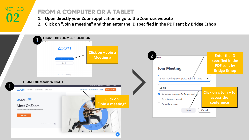# **METHOD**

### **1. Open directly your Zoom application or go to the Zoom.us website 1. Open directly your Zoom application or go to the Zoom.us website**

- 
- **2. Click on "Join a meeting" and then enter the ID specified in the PDF sent by Bridge Eshop**

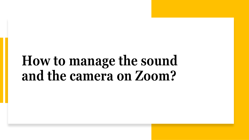# **How to manage the sound and the camera on Zoom?**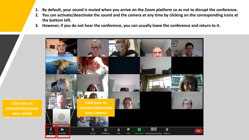- **1. By default, your sound is muted when you arrive on the Zoom platform so as not to disrupt the conference.**
- **2. You can activate/deactivate the sound and the camera at any time by clicking on the corresponding icons at the bottom left.**
- **3. However, if you do not hear the conference, you can usually leave the conference and return to it.**



**Click here to activate/deactivate your sound**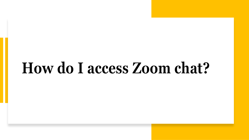# **How do I access Zoom chat?**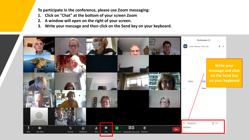**To participate in the conference, please use Zoom messaging:**

- **1. Click on "Chat" at the bottom of your screen Zoom**
- **2. A window will open on the right of your screen.**
- **3. Write your message and then click on the Send key on your keyboard.**

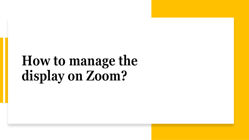# **How to manage the display on Zoom?**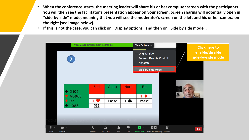- **When the conference starts, the meeting leader will share his or her computer screen with the participants. You will then see the facilitator's presentation appear on your screen. Screen sharing will potentially open in "side-by-side" mode, meaning that you will see the moderator's screen on the left and his or her camera on the right (see image below).**
- **If this is not the case, you can click on "Display options" and then on "Side by side mode".**

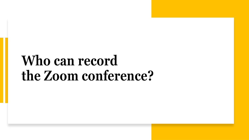# **Who can record the Zoom conference?**